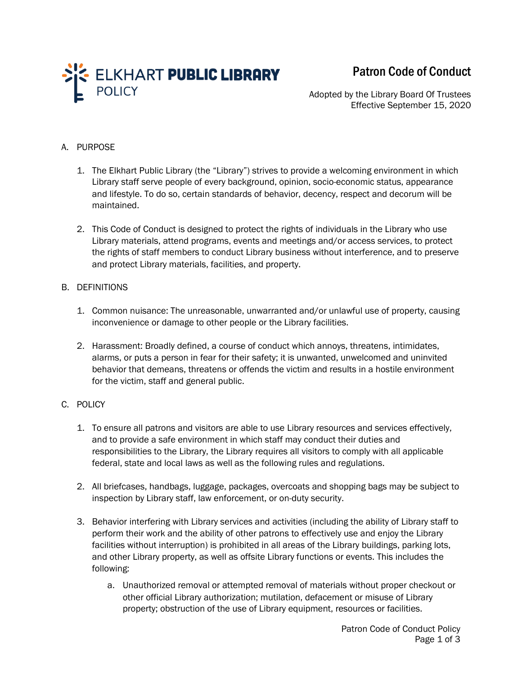

## Patron Code of Conduct

Adopted by the Library Board Of Trustees Effective September 15, 2020

## A. PURPOSE

- 1. The Elkhart Public Library (the "Library") strives to provide a welcoming environment in which Library staff serve people of every background, opinion, socio-economic status, appearance and lifestyle. To do so, certain standards of behavior, decency, respect and decorum will be maintained.
- 2. This Code of Conduct is designed to protect the rights of individuals in the Library who use Library materials, attend programs, events and meetings and/or access services, to protect the rights of staff members to conduct Library business without interference, and to preserve and protect Library materials, facilities, and property.

## B. DEFINITIONS

- 1. Common nuisance: The unreasonable, unwarranted and/or unlawful use of property, causing inconvenience or damage to other people or the Library facilities.
- 2. Harassment: Broadly defined, a course of conduct which annoys, threatens, intimidates, alarms, or puts a person in fear for their safety; it is unwanted, unwelcomed and uninvited behavior that demeans, threatens or offends the victim and results in a hostile environment for the victim, staff and general public.

## C. POLICY

- 1. To ensure all patrons and visitors are able to use Library resources and services effectively, and to provide a safe environment in which staff may conduct their duties and responsibilities to the Library, the Library requires all visitors to comply with all applicable federal, state and local laws as well as the following rules and regulations.
- 2. All briefcases, handbags, luggage, packages, overcoats and shopping bags may be subject to inspection by Library staff, law enforcement, or on-duty security.
- 3. Behavior interfering with Library services and activities (including the ability of Library staff to perform their work and the ability of other patrons to effectively use and enjoy the Library facilities without interruption) is prohibited in all areas of the Library buildings, parking lots, and other Library property, as well as offsite Library functions or events. This includes the following:
	- a. Unauthorized removal or attempted removal of materials without proper checkout or other official Library authorization; mutilation, defacement or misuse of Library property; obstruction of the use of Library equipment, resources or facilities.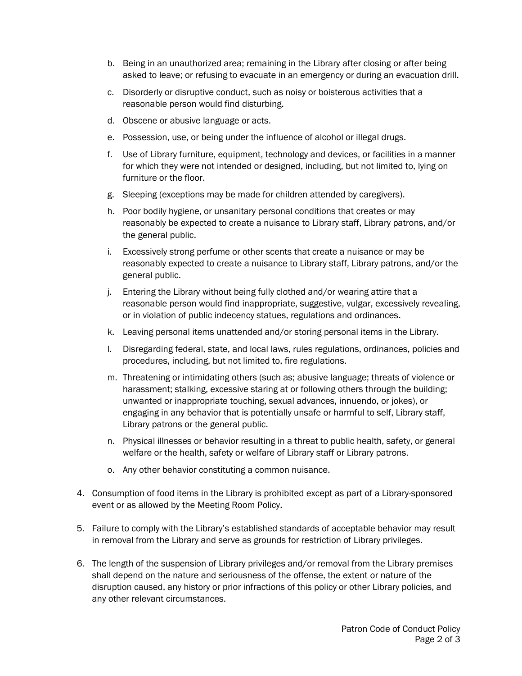- b. Being in an unauthorized area; remaining in the Library after closing or after being asked to leave; or refusing to evacuate in an emergency or during an evacuation drill.
- c. Disorderly or disruptive conduct, such as noisy or boisterous activities that a reasonable person would find disturbing.
- d. Obscene or abusive language or acts.
- e. Possession, use, or being under the influence of alcohol or illegal drugs.
- f. Use of Library furniture, equipment, technology and devices, or facilities in a manner for which they were not intended or designed, including, but not limited to, lying on furniture or the floor.
- g. Sleeping (exceptions may be made for children attended by caregivers).
- h. Poor bodily hygiene, or unsanitary personal conditions that creates or may reasonably be expected to create a nuisance to Library staff, Library patrons, and/or the general public.
- i. Excessively strong perfume or other scents that create a nuisance or may be reasonably expected to create a nuisance to Library staff, Library patrons, and/or the general public.
- j. Entering the Library without being fully clothed and/or wearing attire that a reasonable person would find inappropriate, suggestive, vulgar, excessively revealing, or in violation of public indecency statues, regulations and ordinances.
- k. Leaving personal items unattended and/or storing personal items in the Library.
- l. Disregarding federal, state, and local laws, rules regulations, ordinances, policies and procedures, including, but not limited to, fire regulations.
- m. Threatening or intimidating others (such as; abusive language; threats of violence or harassment; stalking, excessive staring at or following others through the building; unwanted or inappropriate touching, sexual advances, innuendo, or jokes), or engaging in any behavior that is potentially unsafe or harmful to self, Library staff, Library patrons or the general public.
- n. Physical illnesses or behavior resulting in a threat to public health, safety, or general welfare or the health, safety or welfare of Library staff or Library patrons.
- o. Any other behavior constituting a common nuisance.
- 4. Consumption of food items in the Library is prohibited except as part of a Library-sponsored event or as allowed by the Meeting Room Policy.
- 5. Failure to comply with the Library's established standards of acceptable behavior may result in removal from the Library and serve as grounds for restriction of Library privileges.
- 6. The length of the suspension of Library privileges and/or removal from the Library premises shall depend on the nature and seriousness of the offense, the extent or nature of the disruption caused, any history or prior infractions of this policy or other Library policies, and any other relevant circumstances.